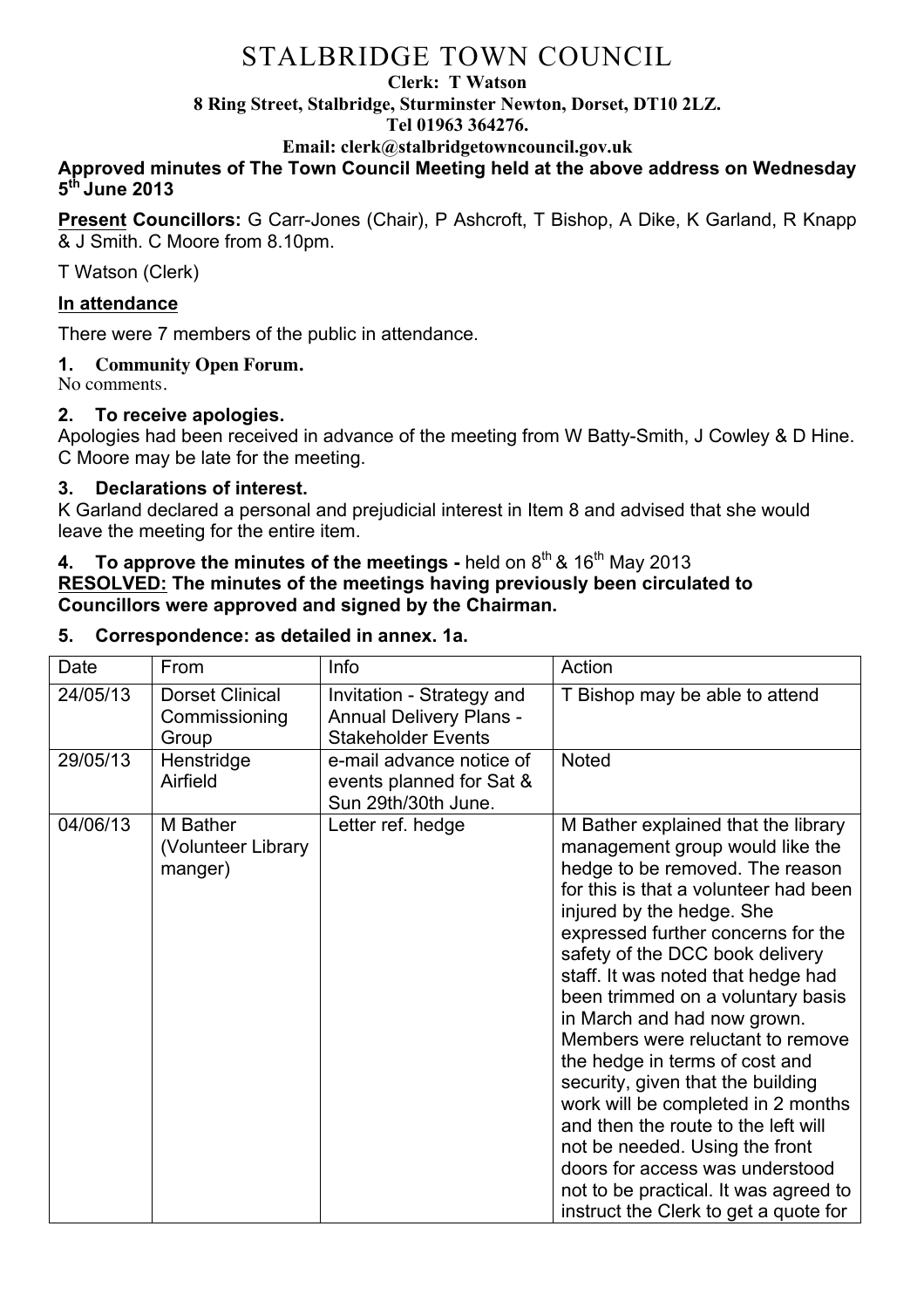#### **Clerk: T Watson**

**8 Ring Street, Stalbridge, Sturminster Newton, Dorset, DT10 2LZ.**

#### **Tel 01963 364276.**

**Email: clerk@stalbridgetowncouncil.gov.uk**

### **Approved minutes of The Town Council Meeting held at the above address on Wednesday 5th June 2013**

**Present Councillors:** G Carr-Jones (Chair), P Ashcroft, T Bishop, A Dike, K Garland, R Knapp & J Smith. C Moore from 8.10pm.

T Watson (Clerk)

## **In attendance**

There were 7 members of the public in attendance.

## **1. Community Open Forum.**

No comments.

## **2. To receive apologies.**

Apologies had been received in advance of the meeting from W Batty-Smith, J Cowley & D Hine. C Moore may be late for the meeting.

## **3. Declarations of interest.**

K Garland declared a personal and prejudicial interest in Item 8 and advised that she would leave the meeting for the entire item.

### **4. To approve the minutes of the meetings** - held on 8<sup>th</sup> & 16<sup>th</sup> May 2013 **RESOLVED: The minutes of the meetings having previously been circulated to Councillors were approved and signed by the Chairman.**

## **5. Correspondence: as detailed in annex. 1a.**

| Date     | From                                             | Info                                                                                     | Action                                                                                                                                                                                                                                                                                                                                                                                                                                                                                                                                                                                                                                                                                                            |
|----------|--------------------------------------------------|------------------------------------------------------------------------------------------|-------------------------------------------------------------------------------------------------------------------------------------------------------------------------------------------------------------------------------------------------------------------------------------------------------------------------------------------------------------------------------------------------------------------------------------------------------------------------------------------------------------------------------------------------------------------------------------------------------------------------------------------------------------------------------------------------------------------|
| 24/05/13 | <b>Dorset Clinical</b><br>Commissioning<br>Group | Invitation - Strategy and<br><b>Annual Delivery Plans -</b><br><b>Stakeholder Events</b> | T Bishop may be able to attend                                                                                                                                                                                                                                                                                                                                                                                                                                                                                                                                                                                                                                                                                    |
| 29/05/13 | Henstridge<br>Airfield                           | e-mail advance notice of<br>events planned for Sat &<br>Sun 29th/30th June.              | <b>Noted</b>                                                                                                                                                                                                                                                                                                                                                                                                                                                                                                                                                                                                                                                                                                      |
| 04/06/13 | M Bather<br>(Volunteer Library<br>manger)        | Letter ref. hedge                                                                        | M Bather explained that the library<br>management group would like the<br>hedge to be removed. The reason<br>for this is that a volunteer had been<br>injured by the hedge. She<br>expressed further concerns for the<br>safety of the DCC book delivery<br>staff. It was noted that hedge had<br>been trimmed on a voluntary basis<br>in March and had now grown.<br>Members were reluctant to remove<br>the hedge in terms of cost and<br>security, given that the building<br>work will be completed in 2 months<br>and then the route to the left will<br>not be needed. Using the front<br>doors for access was understood<br>not to be practical. It was agreed to<br>instruct the Clerk to get a quote for |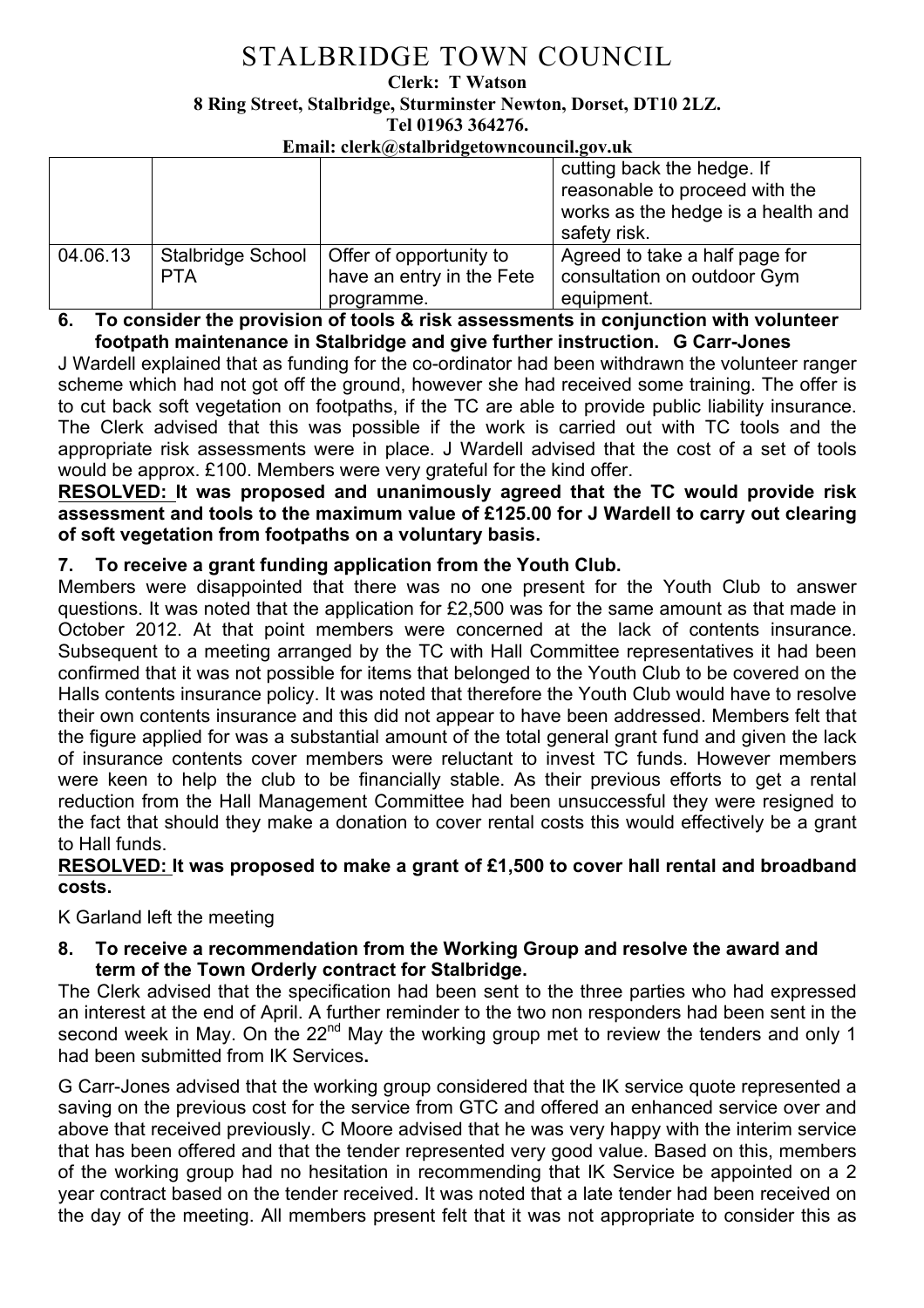**Clerk: T Watson** 

**8 Ring Street, Stalbridge, Sturminster Newton, Dorset, DT10 2LZ.**

**Tel 01963 364276.** 

#### **Email: clerk@stalbridgetowncouncil.gov.uk**

|          |                   |                           | cutting back the hedge. If<br>reasonable to proceed with the<br>works as the hedge is a health and |
|----------|-------------------|---------------------------|----------------------------------------------------------------------------------------------------|
|          |                   |                           | safety risk.                                                                                       |
| 04.06.13 | Stalbridge School | Offer of opportunity to   | Agreed to take a half page for                                                                     |
|          | <b>PTA</b>        | have an entry in the Fete | consultation on outdoor Gym                                                                        |
|          |                   | programme.                | equipment.                                                                                         |

**6. To consider the provision of tools & risk assessments in conjunction with volunteer footpath maintenance in Stalbridge and give further instruction. G Carr-Jones**

J Wardell explained that as funding for the co-ordinator had been withdrawn the volunteer ranger scheme which had not got off the ground, however she had received some training. The offer is to cut back soft vegetation on footpaths, if the TC are able to provide public liability insurance. The Clerk advised that this was possible if the work is carried out with TC tools and the appropriate risk assessments were in place. J Wardell advised that the cost of a set of tools would be approx. £100. Members were very grateful for the kind offer.

**RESOLVED: It was proposed and unanimously agreed that the TC would provide risk assessment and tools to the maximum value of £125.00 for J Wardell to carry out clearing of soft vegetation from footpaths on a voluntary basis.**

## **7. To receive a grant funding application from the Youth Club.**

Members were disappointed that there was no one present for the Youth Club to answer questions. It was noted that the application for £2,500 was for the same amount as that made in October 2012. At that point members were concerned at the lack of contents insurance. Subsequent to a meeting arranged by the TC with Hall Committee representatives it had been confirmed that it was not possible for items that belonged to the Youth Club to be covered on the Halls contents insurance policy. It was noted that therefore the Youth Club would have to resolve their own contents insurance and this did not appear to have been addressed. Members felt that the figure applied for was a substantial amount of the total general grant fund and given the lack of insurance contents cover members were reluctant to invest TC funds. However members were keen to help the club to be financially stable. As their previous efforts to get a rental reduction from the Hall Management Committee had been unsuccessful they were resigned to the fact that should they make a donation to cover rental costs this would effectively be a grant to Hall funds.

#### **RESOLVED: It was proposed to make a grant of £1,500 to cover hall rental and broadband costs.**

## K Garland left the meeting

**8. To receive a recommendation from the Working Group and resolve the award and term of the Town Orderly contract for Stalbridge.**

The Clerk advised that the specification had been sent to the three parties who had expressed an interest at the end of April. A further reminder to the two non responders had been sent in the second week in May. On the 22<sup>nd</sup> May the working group met to review the tenders and only 1 had been submitted from IK Services**.** 

G Carr-Jones advised that the working group considered that the IK service quote represented a saving on the previous cost for the service from GTC and offered an enhanced service over and above that received previously. C Moore advised that he was very happy with the interim service that has been offered and that the tender represented very good value. Based on this, members of the working group had no hesitation in recommending that IK Service be appointed on a 2 year contract based on the tender received. It was noted that a late tender had been received on the day of the meeting. All members present felt that it was not appropriate to consider this as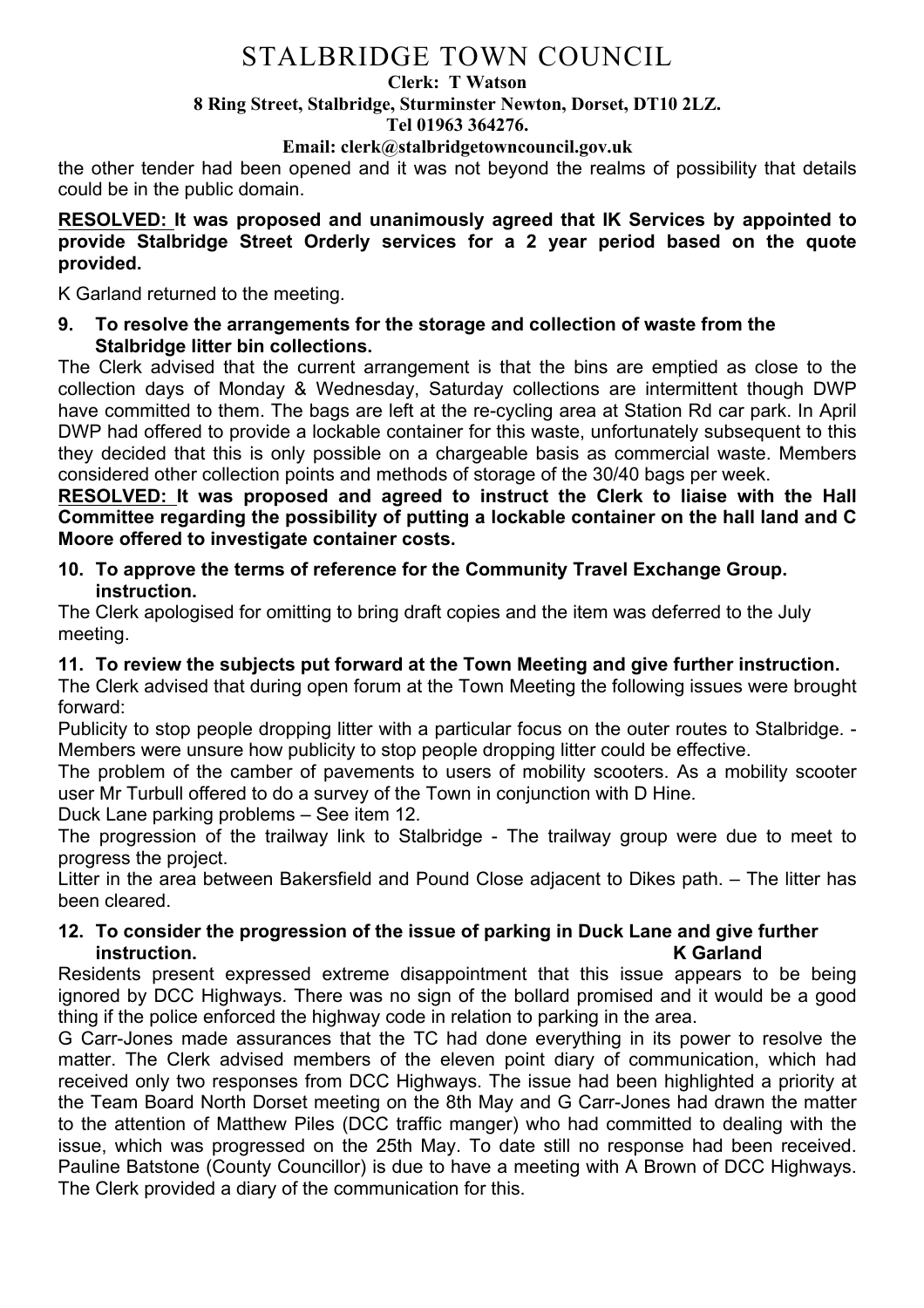#### **Clerk: T Watson**

#### **8 Ring Street, Stalbridge, Sturminster Newton, Dorset, DT10 2LZ.**

**Tel 01963 364276.** 

#### **Email: clerk@stalbridgetowncouncil.gov.uk**

the other tender had been opened and it was not beyond the realms of possibility that details could be in the public domain.

**RESOLVED: It was proposed and unanimously agreed that IK Services by appointed to provide Stalbridge Street Orderly services for a 2 year period based on the quote provided.**

K Garland returned to the meeting.

**9. To resolve the arrangements for the storage and collection of waste from the Stalbridge litter bin collections.**

The Clerk advised that the current arrangement is that the bins are emptied as close to the collection days of Monday & Wednesday, Saturday collections are intermittent though DWP have committed to them. The bags are left at the re-cycling area at Station Rd car park. In April DWP had offered to provide a lockable container for this waste, unfortunately subsequent to this they decided that this is only possible on a chargeable basis as commercial waste. Members considered other collection points and methods of storage of the 30/40 bags per week.

**RESOLVED: It was proposed and agreed to instruct the Clerk to liaise with the Hall Committee regarding the possibility of putting a lockable container on the hall land and C Moore offered to investigate container costs.**

#### **10. To approve the terms of reference for the Community Travel Exchange Group. instruction.**

The Clerk apologised for omitting to bring draft copies and the item was deferred to the July meeting.

## **11. To review the subjects put forward at the Town Meeting and give further instruction.**

The Clerk advised that during open forum at the Town Meeting the following issues were brought forward:

Publicity to stop people dropping litter with a particular focus on the outer routes to Stalbridge. - Members were unsure how publicity to stop people dropping litter could be effective.

The problem of the camber of pavements to users of mobility scooters. As a mobility scooter user Mr Turbull offered to do a survey of the Town in conjunction with D Hine.

Duck Lane parking problems – See item 12.

The progression of the trailway link to Stalbridge - The trailway group were due to meet to progress the project.

Litter in the area between Bakersfield and Pound Close adjacent to Dikes path. – The litter has been cleared.

## **12. To consider the progression of the issue of parking in Duck Lane and give further instruction. K Garland**

Residents present expressed extreme disappointment that this issue appears to be being ignored by DCC Highways. There was no sign of the bollard promised and it would be a good thing if the police enforced the highway code in relation to parking in the area.

G Carr-Jones made assurances that the TC had done everything in its power to resolve the matter. The Clerk advised members of the eleven point diary of communication, which had received only two responses from DCC Highways. The issue had been highlighted a priority at the Team Board North Dorset meeting on the 8th May and G Carr-Jones had drawn the matter to the attention of Matthew Piles (DCC traffic manger) who had committed to dealing with the issue, which was progressed on the 25th May. To date still no response had been received. Pauline Batstone (County Councillor) is due to have a meeting with A Brown of DCC Highways. The Clerk provided a diary of the communication for this.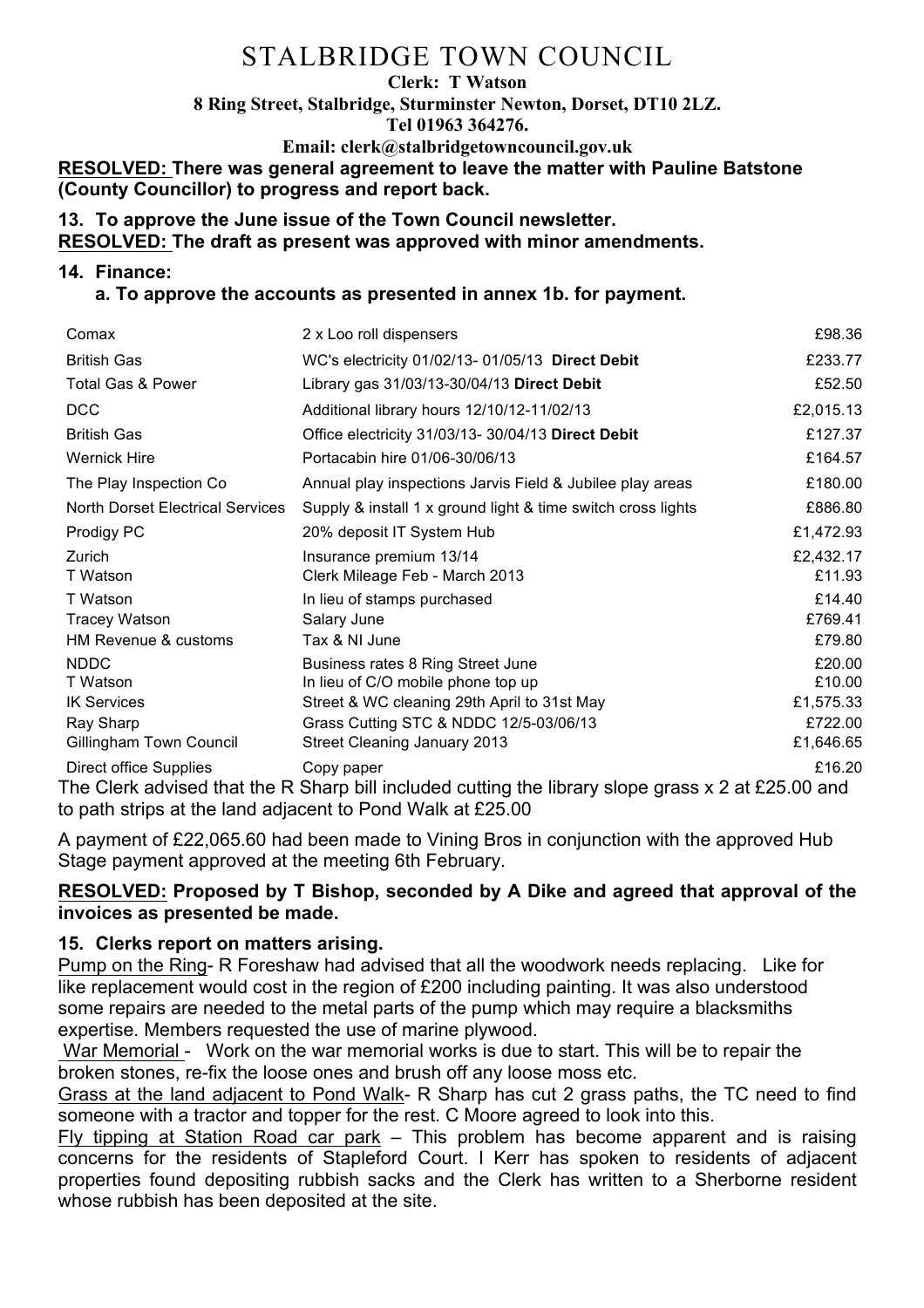## **Clerk: T Watson 8 Ring Street, Stalbridge, Sturminster Newton, Dorset, DT10 2LZ. Tel 01963 364276. Email: clerk@stalbridgetowncouncil.gov.uk**

**RESOLVED: There was general agreement to leave the matter with Pauline Batstone (County Councillor) to progress and report back.**

### **13. To approve the June issue of the Town Council newsletter. RESOLVED: The draft as present was approved with minor amendments.**

#### **14. Finance:**

### **a. To approve the accounts as presented in annex 1b. for payment.**

| Comax                                                                                                                                                 | 2 x Loo roll dispensers                                      | £98.36    |  |  |
|-------------------------------------------------------------------------------------------------------------------------------------------------------|--------------------------------------------------------------|-----------|--|--|
| <b>British Gas</b>                                                                                                                                    | WC's electricity 01/02/13- 01/05/13 Direct Debit             | £233.77   |  |  |
| <b>Total Gas &amp; Power</b>                                                                                                                          | Library gas 31/03/13-30/04/13 Direct Debit                   | £52.50    |  |  |
| <b>DCC</b>                                                                                                                                            | Additional library hours 12/10/12-11/02/13                   | £2,015.13 |  |  |
| <b>British Gas</b>                                                                                                                                    | Office electricity 31/03/13- 30/04/13 Direct Debit           | £127.37   |  |  |
| <b>Wernick Hire</b>                                                                                                                                   | Portacabin hire 01/06-30/06/13                               | £164.57   |  |  |
| The Play Inspection Co                                                                                                                                | Annual play inspections Jarvis Field & Jubilee play areas    | £180.00   |  |  |
| <b>North Dorset Electrical Services</b>                                                                                                               | Supply & install 1 x ground light & time switch cross lights | £886.80   |  |  |
| Prodigy PC                                                                                                                                            | 20% deposit IT System Hub                                    | £1,472.93 |  |  |
| Zurich                                                                                                                                                | Insurance premium 13/14                                      | £2,432.17 |  |  |
| T Watson                                                                                                                                              | Clerk Mileage Feb - March 2013                               | £11.93    |  |  |
| T Watson                                                                                                                                              | In lieu of stamps purchased                                  | £14.40    |  |  |
| <b>Tracey Watson</b>                                                                                                                                  | Salary June                                                  | £769.41   |  |  |
| HM Revenue & customs                                                                                                                                  | Tax & NI June                                                | £79.80    |  |  |
| <b>NDDC</b>                                                                                                                                           | Business rates 8 Ring Street June                            | £20.00    |  |  |
| T Watson                                                                                                                                              | In lieu of C/O mobile phone top up                           | £10.00    |  |  |
| <b>IK Services</b>                                                                                                                                    | Street & WC cleaning 29th April to 31st May                  | £1,575.33 |  |  |
| Ray Sharp                                                                                                                                             | Grass Cutting STC & NDDC 12/5-03/06/13                       | £722.00   |  |  |
| Gillingham Town Council                                                                                                                               | <b>Street Cleaning January 2013</b>                          | £1,646.65 |  |  |
| £16.20<br>Direct office Supplies<br>Copy paper<br>The Clerk advised that the D. Sharp bill included cutting the library slope grass y 2 at £25.00 and |                                                              |           |  |  |

The Clerk advised that the R Sharp bill included cutting the library slope grass x 2 at £25.00 and to path strips at the land adjacent to Pond Walk at £25.00

A payment of £22,065.60 had been made to Vining Bros in conjunction with the approved Hub Stage payment approved at the meeting 6th February.

### **RESOLVED: Proposed by T Bishop, seconded by A Dike and agreed that approval of the invoices as presented be made.**

## **15. Clerks report on matters arising.**

Pump on the Ring- R Foreshaw had advised that all the woodwork needs replacing. Like for like replacement would cost in the region of £200 including painting. It was also understood some repairs are needed to the metal parts of the pump which may require a blacksmiths expertise. Members requested the use of marine plywood.

War Memorial - Work on the war memorial works is due to start. This will be to repair the broken stones, re-fix the loose ones and brush off any loose moss etc.

Grass at the land adjacent to Pond Walk- R Sharp has cut 2 grass paths, the TC need to find someone with a tractor and topper for the rest. C Moore agreed to look into this.

Fly tipping at Station Road car park – This problem has become apparent and is raising concerns for the residents of Stapleford Court. I Kerr has spoken to residents of adjacent properties found depositing rubbish sacks and the Clerk has written to a Sherborne resident whose rubbish has been deposited at the site.